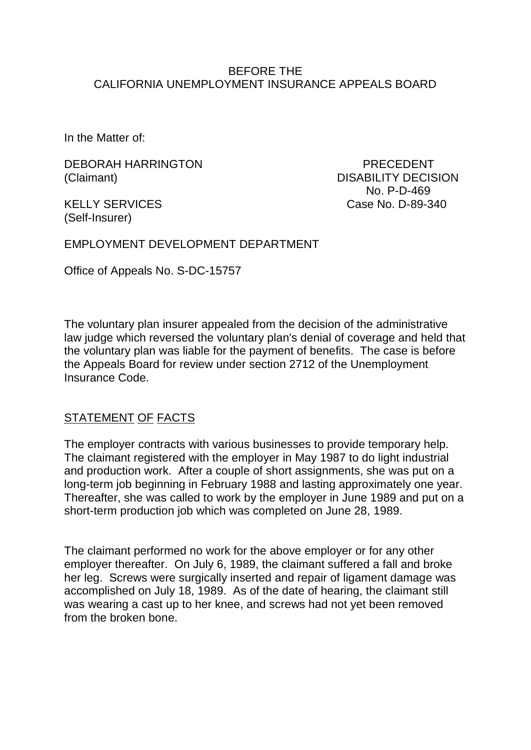#### BEFORE THE CALIFORNIA UNEMPLOYMENT INSURANCE APPEALS BOARD

In the Matter of:

DEBORAH HARRINGTON PRECEDENT (Claimant) DISABILITY DECISION

 No. P-D-469 KELLY SERVICES Case No. D-89-340

(Self-Insurer)

EMPLOYMENT DEVELOPMENT DEPARTMENT

Office of Appeals No. S-DC-15757

The voluntary plan insurer appealed from the decision of the administrative law judge which reversed the voluntary plan's denial of coverage and held that the voluntary plan was liable for the payment of benefits. The case is before the Appeals Board for review under section 2712 of the Unemployment Insurance Code.

# STATEMENT OF FACTS

The employer contracts with various businesses to provide temporary help. The claimant registered with the employer in May 1987 to do light industrial and production work. After a couple of short assignments, she was put on a long-term job beginning in February 1988 and lasting approximately one year. Thereafter, she was called to work by the employer in June 1989 and put on a short-term production job which was completed on June 28, 1989.

The claimant performed no work for the above employer or for any other employer thereafter. On July 6, 1989, the claimant suffered a fall and broke her leg. Screws were surgically inserted and repair of ligament damage was accomplished on July 18, 1989. As of the date of hearing, the claimant still was wearing a cast up to her knee, and screws had not yet been removed from the broken bone.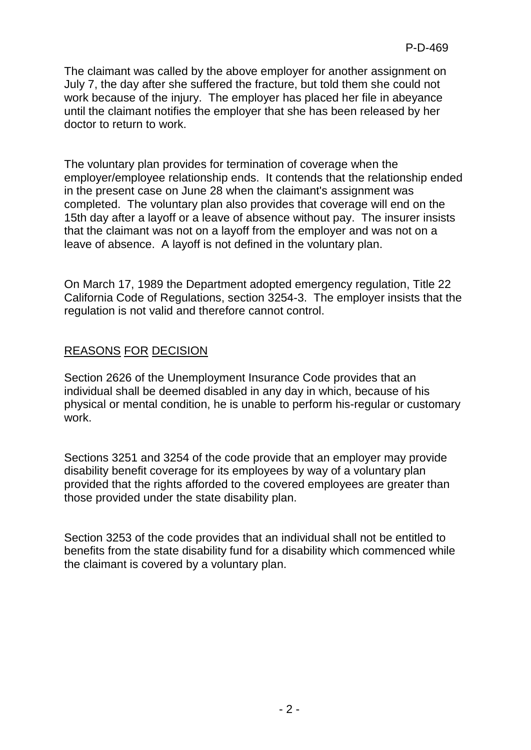The claimant was called by the above employer for another assignment on July 7, the day after she suffered the fracture, but told them she could not work because of the injury. The employer has placed her file in abeyance until the claimant notifies the employer that she has been released by her doctor to return to work.

The voluntary plan provides for termination of coverage when the employer/employee relationship ends. It contends that the relationship ended in the present case on June 28 when the claimant's assignment was completed. The voluntary plan also provides that coverage will end on the 15th day after a layoff or a leave of absence without pay. The insurer insists that the claimant was not on a layoff from the employer and was not on a leave of absence. A layoff is not defined in the voluntary plan.

On March 17, 1989 the Department adopted emergency regulation, Title 22 California Code of Regulations, section 3254-3. The employer insists that the regulation is not valid and therefore cannot control.

## REASONS FOR DECISION

Section 2626 of the Unemployment Insurance Code provides that an individual shall be deemed disabled in any day in which, because of his physical or mental condition, he is unable to perform his-regular or customary work.

Sections 3251 and 3254 of the code provide that an employer may provide disability benefit coverage for its employees by way of a voluntary plan provided that the rights afforded to the covered employees are greater than those provided under the state disability plan.

Section 3253 of the code provides that an individual shall not be entitled to benefits from the state disability fund for a disability which commenced while the claimant is covered by a voluntary plan.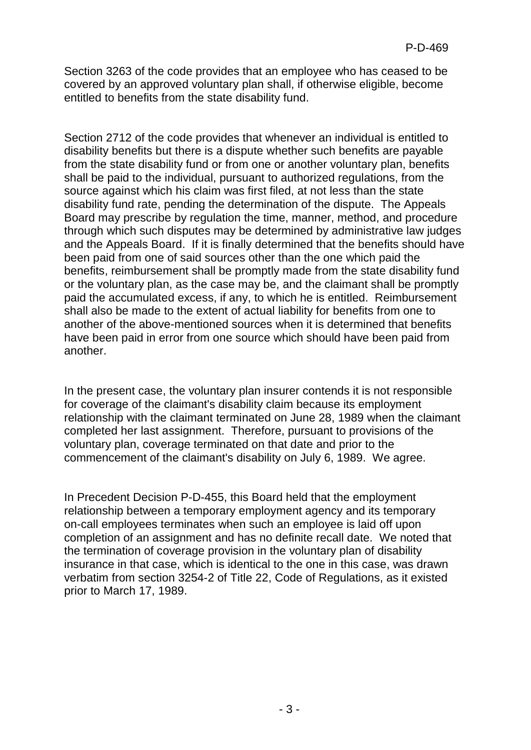Section 3263 of the code provides that an employee who has ceased to be covered by an approved voluntary plan shall, if otherwise eligible, become entitled to benefits from the state disability fund.

Section 2712 of the code provides that whenever an individual is entitled to disability benefits but there is a dispute whether such benefits are payable from the state disability fund or from one or another voluntary plan, benefits shall be paid to the individual, pursuant to authorized regulations, from the source against which his claim was first filed, at not less than the state disability fund rate, pending the determination of the dispute. The Appeals Board may prescribe by regulation the time, manner, method, and procedure through which such disputes may be determined by administrative law judges and the Appeals Board. If it is finally determined that the benefits should have been paid from one of said sources other than the one which paid the benefits, reimbursement shall be promptly made from the state disability fund or the voluntary plan, as the case may be, and the claimant shall be promptly paid the accumulated excess, if any, to which he is entitled. Reimbursement shall also be made to the extent of actual liability for benefits from one to another of the above-mentioned sources when it is determined that benefits have been paid in error from one source which should have been paid from another.

In the present case, the voluntary plan insurer contends it is not responsible for coverage of the claimant's disability claim because its employment relationship with the claimant terminated on June 28, 1989 when the claimant completed her last assignment. Therefore, pursuant to provisions of the voluntary plan, coverage terminated on that date and prior to the commencement of the claimant's disability on July 6, 1989. We agree.

In Precedent Decision P-D-455, this Board held that the employment relationship between a temporary employment agency and its temporary on-call employees terminates when such an employee is laid off upon completion of an assignment and has no definite recall date. We noted that the termination of coverage provision in the voluntary plan of disability insurance in that case, which is identical to the one in this case, was drawn verbatim from section 3254-2 of Title 22, Code of Regulations, as it existed prior to March 17, 1989.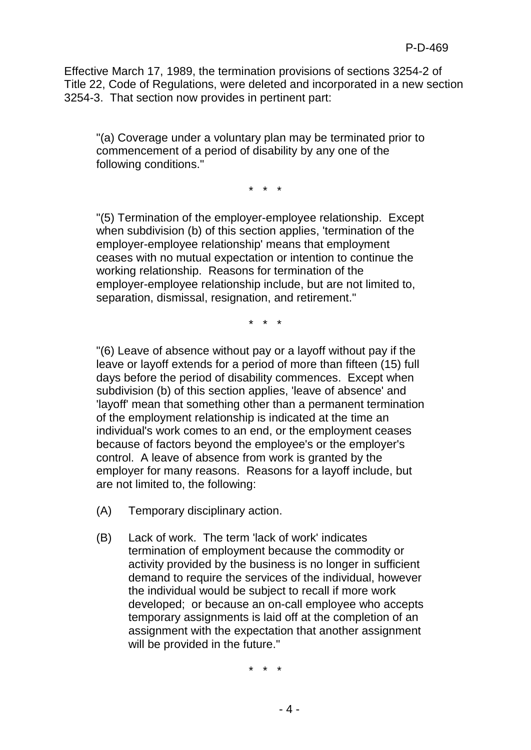Effective March 17, 1989, the termination provisions of sections 3254-2 of Title 22, Code of Regulations, were deleted and incorporated in a new section 3254-3. That section now provides in pertinent part:

"(a) Coverage under a voluntary plan may be terminated prior to commencement of a period of disability by any one of the following conditions."

\* \* \*

"(5) Termination of the employer-employee relationship. Except when subdivision (b) of this section applies, 'termination of the employer-employee relationship' means that employment ceases with no mutual expectation or intention to continue the working relationship. Reasons for termination of the employer-employee relationship include, but are not limited to, separation, dismissal, resignation, and retirement."

\* \* \*

"(6) Leave of absence without pay or a layoff without pay if the leave or layoff extends for a period of more than fifteen (15) full days before the period of disability commences. Except when subdivision (b) of this section applies, 'leave of absence' and 'layoff' mean that something other than a permanent termination of the employment relationship is indicated at the time an individual's work comes to an end, or the employment ceases because of factors beyond the employee's or the employer's control. A leave of absence from work is granted by the employer for many reasons. Reasons for a layoff include, but are not limited to, the following:

- (A) Temporary disciplinary action.
- (B) Lack of work. The term 'lack of work' indicates termination of employment because the commodity or activity provided by the business is no longer in sufficient demand to require the services of the individual, however the individual would be subject to recall if more work developed; or because an on-call employee who accepts temporary assignments is laid off at the completion of an assignment with the expectation that another assignment will be provided in the future."

\* \* \*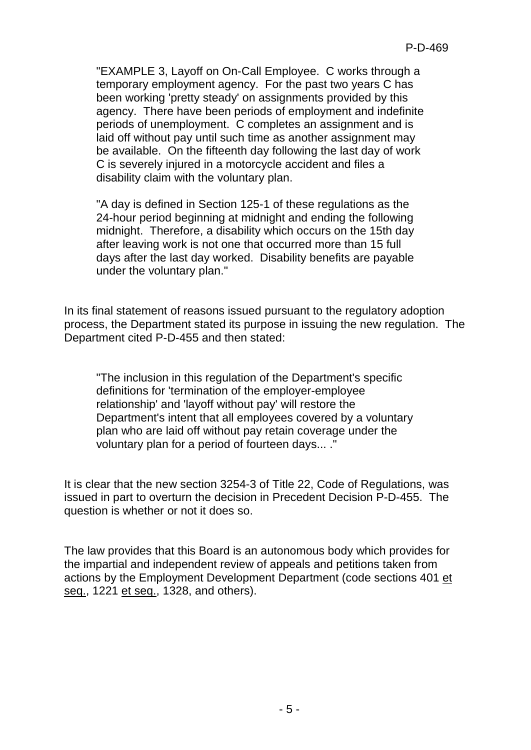"EXAMPLE 3, Layoff on On-Call Employee. C works through a temporary employment agency. For the past two years C has been working 'pretty steady' on assignments provided by this agency. There have been periods of employment and indefinite periods of unemployment. C completes an assignment and is laid off without pay until such time as another assignment may be available. On the fifteenth day following the last day of work C is severely injured in a motorcycle accident and files a disability claim with the voluntary plan.

"A day is defined in Section 125-1 of these regulations as the 24-hour period beginning at midnight and ending the following midnight. Therefore, a disability which occurs on the 15th day after leaving work is not one that occurred more than 15 full days after the last day worked. Disability benefits are payable under the voluntary plan."

In its final statement of reasons issued pursuant to the regulatory adoption process, the Department stated its purpose in issuing the new regulation. The Department cited P-D-455 and then stated:

"The inclusion in this regulation of the Department's specific definitions for 'termination of the employer-employee relationship' and 'layoff without pay' will restore the Department's intent that all employees covered by a voluntary plan who are laid off without pay retain coverage under the voluntary plan for a period of fourteen days... ."

It is clear that the new section 3254-3 of Title 22, Code of Regulations, was issued in part to overturn the decision in Precedent Decision P-D-455. The question is whether or not it does so.

The law provides that this Board is an autonomous body which provides for the impartial and independent review of appeals and petitions taken from actions by the Employment Development Department (code sections 401 et seq., 1221 et seq., 1328, and others).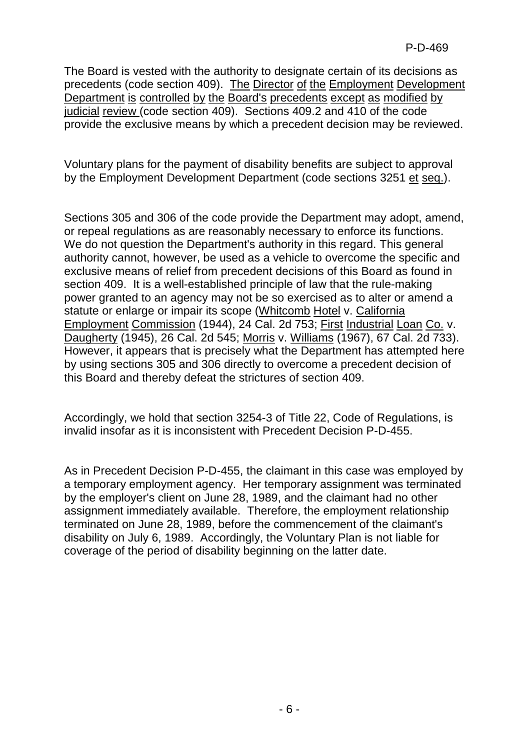The Board is vested with the authority to designate certain of its decisions as precedents (code section 409). The Director of the Employment Development Department is controlled by the Board's precedents except as modified by judicial review (code section 409). Sections 409.2 and 410 of the code provide the exclusive means by which a precedent decision may be reviewed.

Voluntary plans for the payment of disability benefits are subject to approval by the Employment Development Department (code sections 3251 et seq.).

Sections 305 and 306 of the code provide the Department may adopt, amend, or repeal regulations as are reasonably necessary to enforce its functions. We do not question the Department's authority in this regard. This general authority cannot, however, be used as a vehicle to overcome the specific and exclusive means of relief from precedent decisions of this Board as found in section 409. It is a well-established principle of law that the rule-making power granted to an agency may not be so exercised as to alter or amend a statute or enlarge or impair its scope (Whitcomb Hotel v. California Employment Commission (1944), 24 Cal. 2d 753; First Industrial Loan Co. v. Daugherty (1945), 26 Cal. 2d 545; Morris v. Williams (1967), 67 Cal. 2d 733). However, it appears that is precisely what the Department has attempted here by using sections 305 and 306 directly to overcome a precedent decision of this Board and thereby defeat the strictures of section 409.

Accordingly, we hold that section 3254-3 of Title 22, Code of Regulations, is invalid insofar as it is inconsistent with Precedent Decision P-D-455.

As in Precedent Decision P-D-455, the claimant in this case was employed by a temporary employment agency. Her temporary assignment was terminated by the employer's client on June 28, 1989, and the claimant had no other assignment immediately available. Therefore, the employment relationship terminated on June 28, 1989, before the commencement of the claimant's disability on July 6, 1989. Accordingly, the Voluntary Plan is not liable for coverage of the period of disability beginning on the latter date.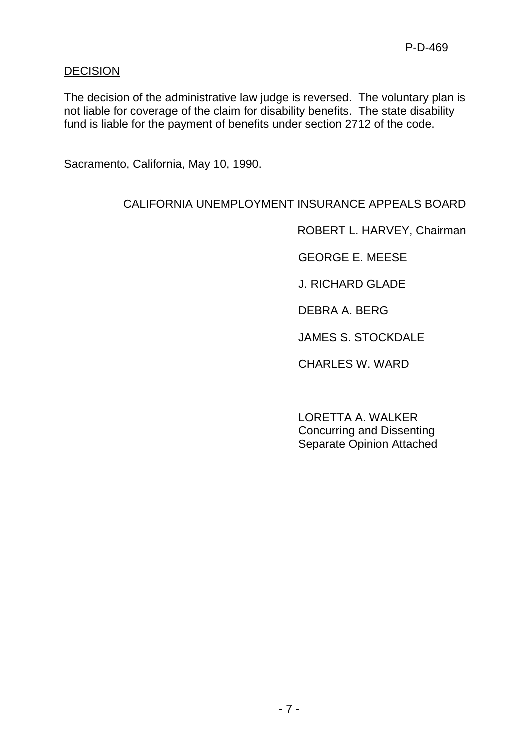#### **DECISION**

The decision of the administrative law judge is reversed. The voluntary plan is not liable for coverage of the claim for disability benefits. The state disability fund is liable for the payment of benefits under section 2712 of the code.

Sacramento, California, May 10, 1990.

### CALIFORNIA UNEMPLOYMENT INSURANCE APPEALS BOARD

ROBERT L. HARVEY, Chairman

GEORGE E. MEESE

J. RICHARD GLADE

DEBRA A. BERG

JAMES S. STOCKDALE

CHARLES W. WARD

LORETTA A. WALKER Concurring and Dissenting Separate Opinion Attached